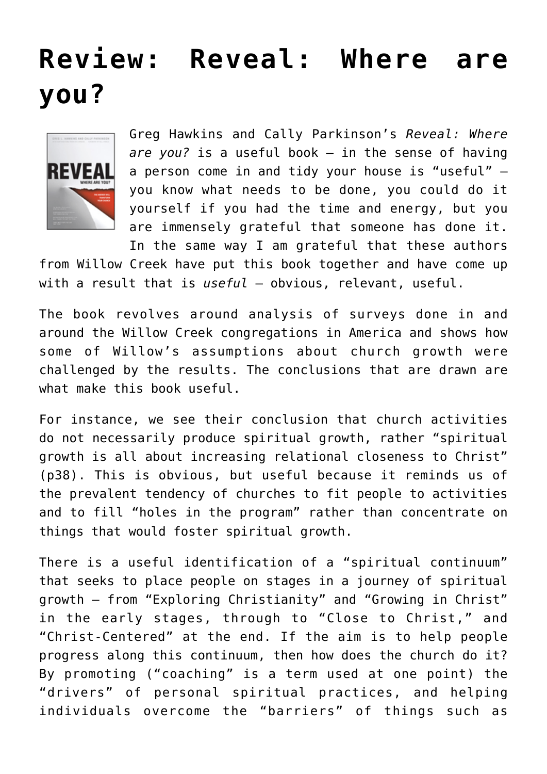## **[Review: Reveal: Where are](https://briggs.id.au/jour/2008/05/reveal-where-are-you-review/) [you?](https://briggs.id.au/jour/2008/05/reveal-where-are-you-review/)**



Greg Hawkins and Cally Parkinson's *[Reveal: Where](http://willowcreek.org.au/reveal) [are you?](http://willowcreek.org.au/reveal)* is a useful book – in the sense of having a person come in and tidy your house is "useful" – you know what needs to be done, you could do it yourself if you had the time and energy, but you are immensely grateful that someone has done it. In the same way I am grateful that these authors

from Willow Creek have put this book together and have come up with a result that is *useful* – obvious, relevant, useful.

The book revolves around analysis of surveys done in and around the Willow Creek congregations in America and shows how some of Willow's assumptions about church growth were challenged by the results. The conclusions that are drawn are what make this book useful.

For instance, we see their conclusion that church activities do not necessarily produce spiritual growth, rather "spiritual growth is all about increasing relational closeness to Christ" (p38). This is obvious, but useful because it reminds us of the prevalent tendency of churches to fit people to activities and to fill "holes in the program" rather than concentrate on things that would foster spiritual growth.

There is a useful identification of a "spiritual continuum" that seeks to place people on stages in a journey of spiritual growth – from "Exploring Christianity" and "Growing in Christ" in the early stages, through to "Close to Christ," and "Christ-Centered" at the end. If the aim is to help people progress along this continuum, then how does the church do it? By promoting ("coaching" is a term used at one point) the "drivers" of personal spiritual practices, and helping individuals overcome the "barriers" of things such as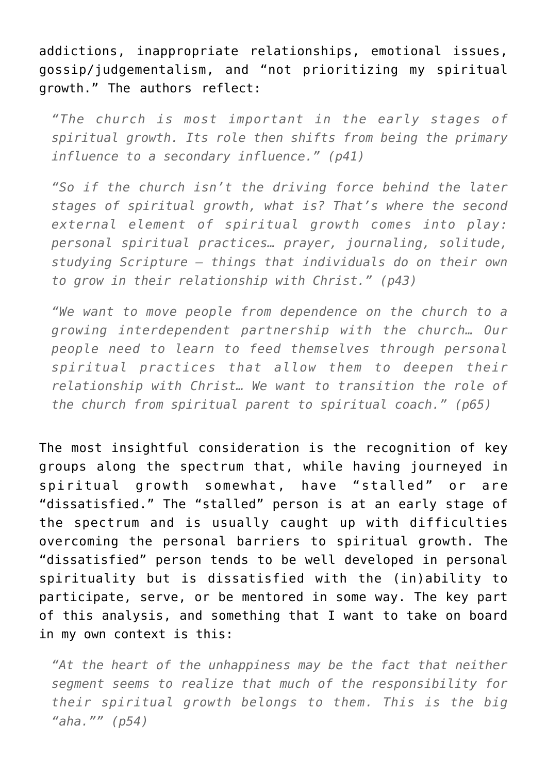addictions, inappropriate relationships, emotional issues, gossip/judgementalism, and "not prioritizing my spiritual growth." The authors reflect:

*"The church is most important in the early stages of spiritual growth. Its role then shifts from being the primary influence to a secondary influence." (p41)*

*"So if the church isn't the driving force behind the later stages of spiritual growth, what is? That's where the second external element of spiritual growth comes into play: personal spiritual practices… prayer, journaling, solitude, studying Scripture – things that individuals do on their own to grow in their relationship with Christ." (p43)*

*"We want to move people from dependence on the church to a growing interdependent partnership with the church… Our people need to learn to feed themselves through personal spiritual practices that allow them to deepen their relationship with Christ… We want to transition the role of the church from spiritual parent to spiritual coach." (p65)*

The most insightful consideration is the recognition of key groups along the spectrum that, while having journeyed in spiritual growth somewhat, have "stalled" or are "dissatisfied." The "stalled" person is at an early stage of the spectrum and is usually caught up with difficulties overcoming the personal barriers to spiritual growth. The "dissatisfied" person tends to be well developed in personal spirituality but is dissatisfied with the (in)ability to participate, serve, or be mentored in some way. The key part of this analysis, and something that I want to take on board in my own context is this:

*"At the heart of the unhappiness may be the fact that neither segment seems to realize that much of the responsibility for their spiritual growth belongs to them. This is the big "aha."" (p54)*